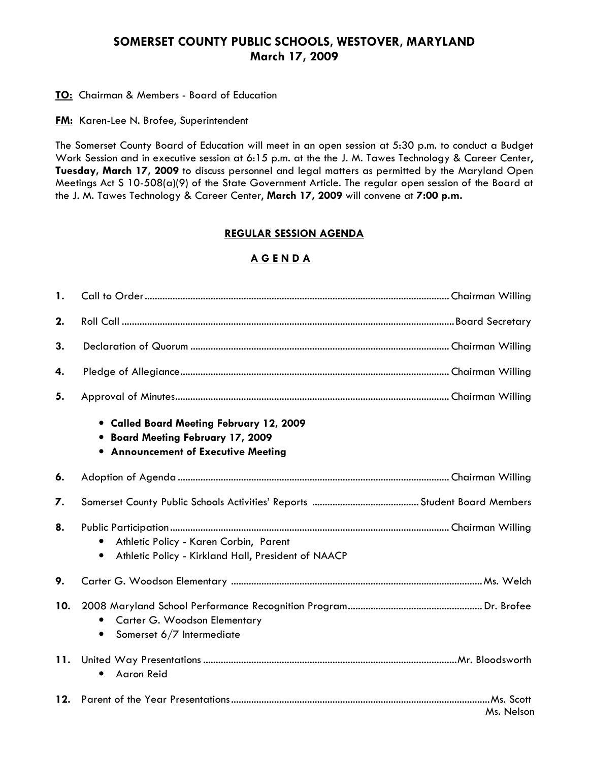## SOMERSET COUNTY PUBLIC SCHOOLS, WESTOVER, MARYLAND March 17, 2009

**TO:** Chairman & Members - Board of Education

**FM:** Karen-Lee N. Brofee, Superintendent

The Somerset County Board of Education will meet in an open session at 5:30 p.m. to conduct a Budget Work Session and in executive session at 6:15 p.m. at the the J. M. Tawes Technology & Career Center, Tuesday, March 17, 2009 to discuss personnel and legal matters as permitted by the Maryland Open Meetings Act S 10-508(a)(9) of the State Government Article. The regular open session of the Board at the J. M. Tawes Technology & Career Center, March 17, 2009 will convene at 7:00 p.m.

#### REGULAR SESSION AGENDA

## A G E N D A

| 1.  |                                                                                                                             |            |
|-----|-----------------------------------------------------------------------------------------------------------------------------|------------|
| 2.  |                                                                                                                             |            |
| 3.  |                                                                                                                             |            |
| 4.  |                                                                                                                             |            |
| 5.  |                                                                                                                             |            |
|     | • Called Board Meeting February 12, 2009<br>• Board Meeting February 17, 2009<br><b>• Announcement of Executive Meeting</b> |            |
| 6.  |                                                                                                                             |            |
| 7.  |                                                                                                                             |            |
| 8.  | Athletic Policy - Karen Corbin, Parent<br>Athletic Policy - Kirkland Hall, President of NAACP<br>$\bullet$                  |            |
| 9.  |                                                                                                                             |            |
| 10. | Carter G. Woodson Elementary<br>Somerset 6/7 Intermediate<br>٠                                                              |            |
| 11. | <b>Aaron Reid</b><br>$\bullet$                                                                                              |            |
| 12. |                                                                                                                             | Ms. Nelson |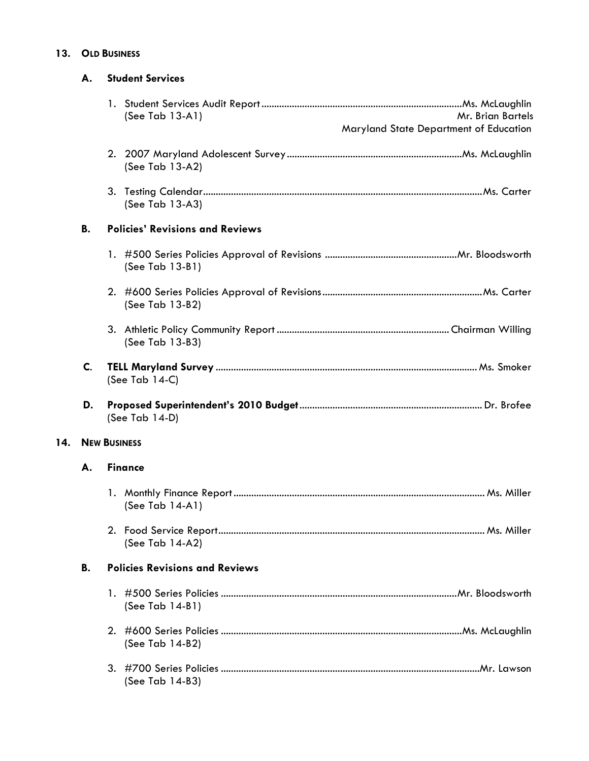### 13. OLD BUSINESS

|                      | А.                                                 | <b>Student Services</b>                                                                  |  |  |
|----------------------|----------------------------------------------------|------------------------------------------------------------------------------------------|--|--|
|                      |                                                    | (See Tab $13-A1$ )<br><b>Mr. Brian Bartels</b><br>Maryland State Department of Education |  |  |
|                      |                                                    | (See Tab 13-A2)                                                                          |  |  |
|                      |                                                    | (See Tab 13-A3)                                                                          |  |  |
|                      | В.                                                 | <b>Policies' Revisions and Reviews</b>                                                   |  |  |
|                      |                                                    | (See Tab 13-B1)                                                                          |  |  |
|                      |                                                    | (See Tab 13-B2)                                                                          |  |  |
|                      |                                                    | (See Tab 13-B3)                                                                          |  |  |
|                      | C.                                                 | (See Tab $14-C$ )                                                                        |  |  |
|                      | D.                                                 | (See Tab 14-D)                                                                           |  |  |
| 14.                  |                                                    | <b>NEW BUSINESS</b>                                                                      |  |  |
| <b>Finance</b><br>А. |                                                    |                                                                                          |  |  |
|                      |                                                    | (See Tab 14-A1)                                                                          |  |  |
|                      |                                                    | (See Tab 14-A2)                                                                          |  |  |
|                      | <b>B.</b><br><b>Policies Revisions and Reviews</b> |                                                                                          |  |  |
|                      |                                                    | (See Tab 14-B1)                                                                          |  |  |
|                      |                                                    | (See Tab 14-B2)                                                                          |  |  |
|                      |                                                    | (See Tab 14-B3)                                                                          |  |  |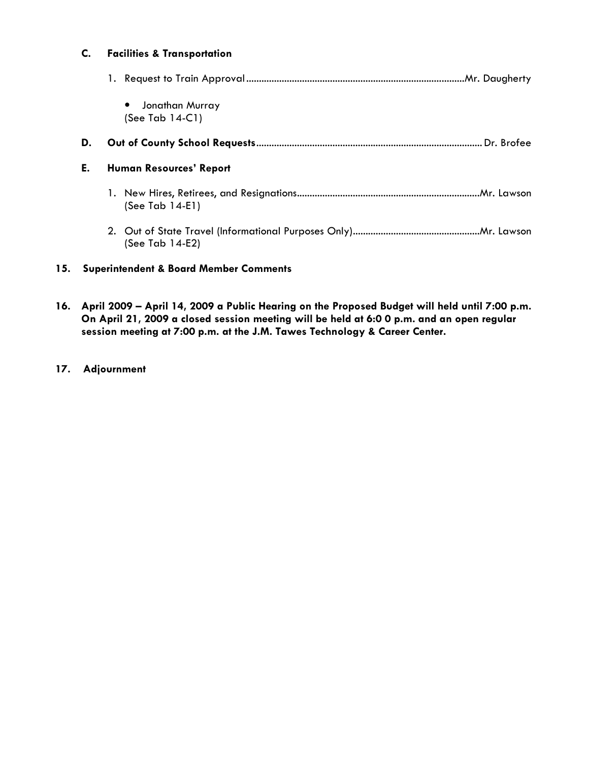#### C. Facilities & Transportation

|     |    | Jonathan Murray<br>$\bullet$<br>(See Tab $14-C1$ ) |
|-----|----|----------------------------------------------------|
|     | D. |                                                    |
|     | Е. | <b>Human Resources' Report</b>                     |
|     |    | $(See Tab 14-E1)$                                  |
|     |    | (See Tab $14-E2$ )                                 |
| 15. |    | <b>Superintendent &amp; Board Member Comments</b>  |

- 16. April 2009 April 14, 2009 a Public Hearing on the Proposed Budget will held until 7:00 p.m. On April 21, 2009 a closed session meeting will be held at 6:0 0 p.m. and an open regular session meeting at 7:00 p.m. at the J.M. Tawes Technology & Career Center.
- 17. Adjournment